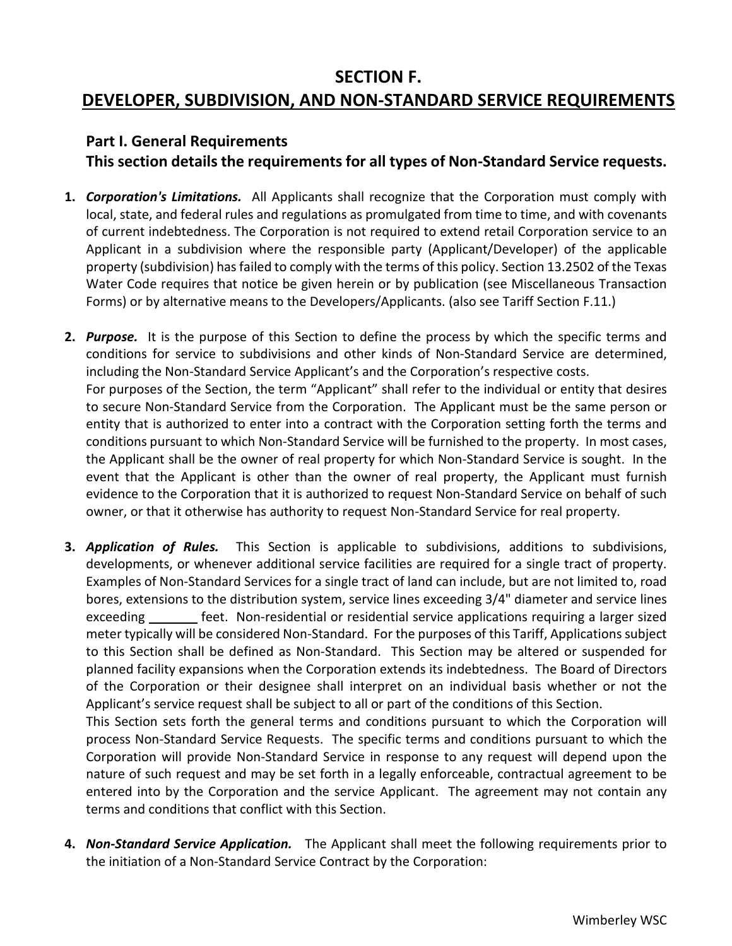### **SECTION F.**

# **DEVELOPER, SUBDIVISION, AND NON-STANDARD SERVICE REQUIREMENTS**

### **Part I. General Requirements**

**This section details the requirements for all types of Non-Standard Service requests.**

- **1.** *Corporation's Limitations.* All Applicants shall recognize that the Corporation must comply with local, state, and federal rules and regulations as promulgated from time to time, and with covenants of current indebtedness. The Corporation is not required to extend retail Corporation service to an Applicant in a subdivision where the responsible party (Applicant/Developer) of the applicable property (subdivision) has failed to comply with the terms of this policy. Section 13.2502 of the Texas Water Code requires that notice be given herein or by publication (see Miscellaneous Transaction Forms) or by alternative means to the Developers/Applicants. (also see Tariff Section F.11.)
- **2.** *Purpose.* It is the purpose of this Section to define the process by which the specific terms and conditions for service to subdivisions and other kinds of Non-Standard Service are determined, including the Non-Standard Service Applicant's and the Corporation's respective costs. For purposes of the Section, the term "Applicant" shall refer to the individual or entity that desires to secure Non-Standard Service from the Corporation. The Applicant must be the same person or entity that is authorized to enter into a contract with the Corporation setting forth the terms and conditions pursuant to which Non-Standard Service will be furnished to the property. In most cases, the Applicant shall be the owner of real property for which Non-Standard Service is sought. In the event that the Applicant is other than the owner of real property, the Applicant must furnish evidence to the Corporation that it is authorized to request Non-Standard Service on behalf of such owner, or that it otherwise has authority to request Non-Standard Service for real property.
- **3.** *Application of Rules.* This Section is applicable to subdivisions, additions to subdivisions, developments, or whenever additional service facilities are required for a single tract of property. Examples of Non-Standard Services for a single tract of land can include, but are not limited to, road bores, extensions to the distribution system, service lines exceeding 3/4" diameter and service lines exceeding feet. Non-residential or residential service applications requiring a larger sized meter typically will be considered Non-Standard. For the purposes of this Tariff, Applications subject to this Section shall be defined as Non-Standard. This Section may be altered or suspended for planned facility expansions when the Corporation extends its indebtedness. The Board of Directors of the Corporation or their designee shall interpret on an individual basis whether or not the Applicant's service request shall be subject to all or part of the conditions of this Section.

This Section sets forth the general terms and conditions pursuant to which the Corporation will process Non-Standard Service Requests. The specific terms and conditions pursuant to which the Corporation will provide Non-Standard Service in response to any request will depend upon the nature of such request and may be set forth in a legally enforceable, contractual agreement to be entered into by the Corporation and the service Applicant. The agreement may not contain any terms and conditions that conflict with this Section.

**4.** *Non-Standard Service Application.* The Applicant shall meet the following requirements prior to the initiation of a Non-Standard Service Contract by the Corporation: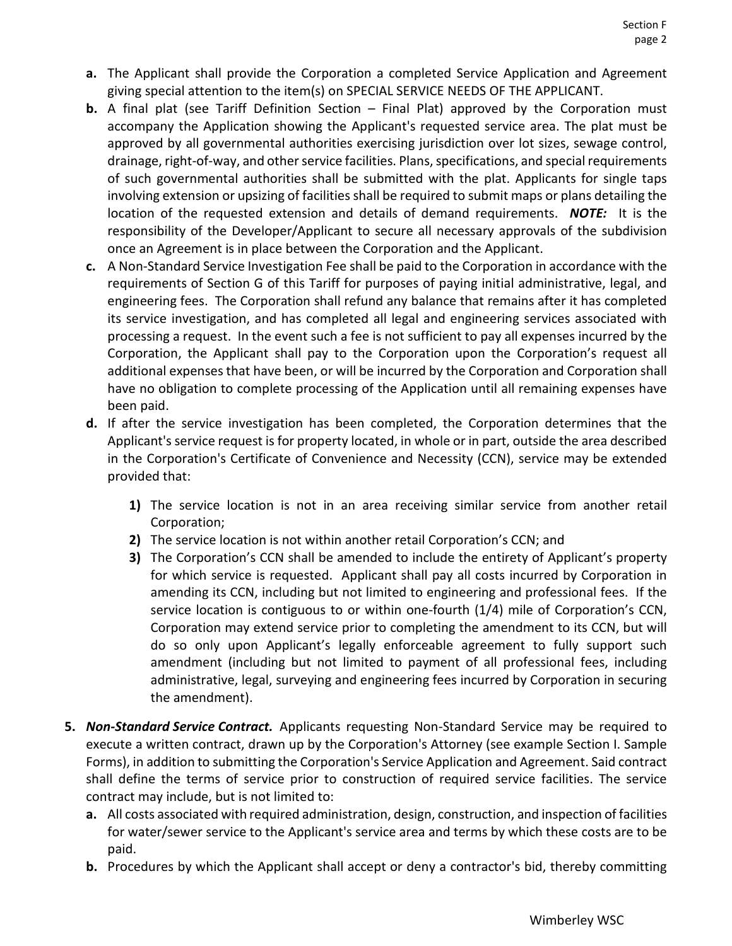- **a.** The Applicant shall provide the Corporation a completed Service Application and Agreement giving special attention to the item(s) on SPECIAL SERVICE NEEDS OF THE APPLICANT.
- **b.** A final plat (see Tariff Definition Section Final Plat) approved by the Corporation must accompany the Application showing the Applicant's requested service area. The plat must be approved by all governmental authorities exercising jurisdiction over lot sizes, sewage control, drainage, right-of-way, and other service facilities. Plans, specifications, and special requirements of such governmental authorities shall be submitted with the plat. Applicants for single taps involving extension or upsizing of facilities shall be required to submit maps or plans detailing the location of the requested extension and details of demand requirements. *NOTE:* It is the responsibility of the Developer/Applicant to secure all necessary approvals of the subdivision once an Agreement is in place between the Corporation and the Applicant.
- **c.** A Non-Standard Service Investigation Fee shall be paid to the Corporation in accordance with the requirements of Section G of this Tariff for purposes of paying initial administrative, legal, and engineering fees. The Corporation shall refund any balance that remains after it has completed its service investigation, and has completed all legal and engineering services associated with processing a request. In the event such a fee is not sufficient to pay all expenses incurred by the Corporation, the Applicant shall pay to the Corporation upon the Corporation's request all additional expenses that have been, or will be incurred by the Corporation and Corporation shall have no obligation to complete processing of the Application until all remaining expenses have been paid.
- **d.** If after the service investigation has been completed, the Corporation determines that the Applicant's service request is for property located, in whole or in part, outside the area described in the Corporation's Certificate of Convenience and Necessity (CCN), service may be extended provided that:
	- **1)** The service location is not in an area receiving similar service from another retail Corporation;
	- **2)** The service location is not within another retail Corporation's CCN; and
	- **3)** The Corporation's CCN shall be amended to include the entirety of Applicant's property for which service is requested. Applicant shall pay all costs incurred by Corporation in amending its CCN, including but not limited to engineering and professional fees. If the service location is contiguous to or within one-fourth (1/4) mile of Corporation's CCN, Corporation may extend service prior to completing the amendment to its CCN, but will do so only upon Applicant's legally enforceable agreement to fully support such amendment (including but not limited to payment of all professional fees, including administrative, legal, surveying and engineering fees incurred by Corporation in securing the amendment).
- **5.** *Non-Standard Service Contract.* Applicants requesting Non-Standard Service may be required to execute a written contract, drawn up by the Corporation's Attorney (see example Section I. Sample Forms), in addition to submitting the Corporation's Service Application and Agreement. Said contract shall define the terms of service prior to construction of required service facilities. The service contract may include, but is not limited to:
	- **a.** All costs associated with required administration, design, construction, and inspection of facilities for water/sewer service to the Applicant's service area and terms by which these costs are to be paid.
	- **b.** Procedures by which the Applicant shall accept or deny a contractor's bid, thereby committing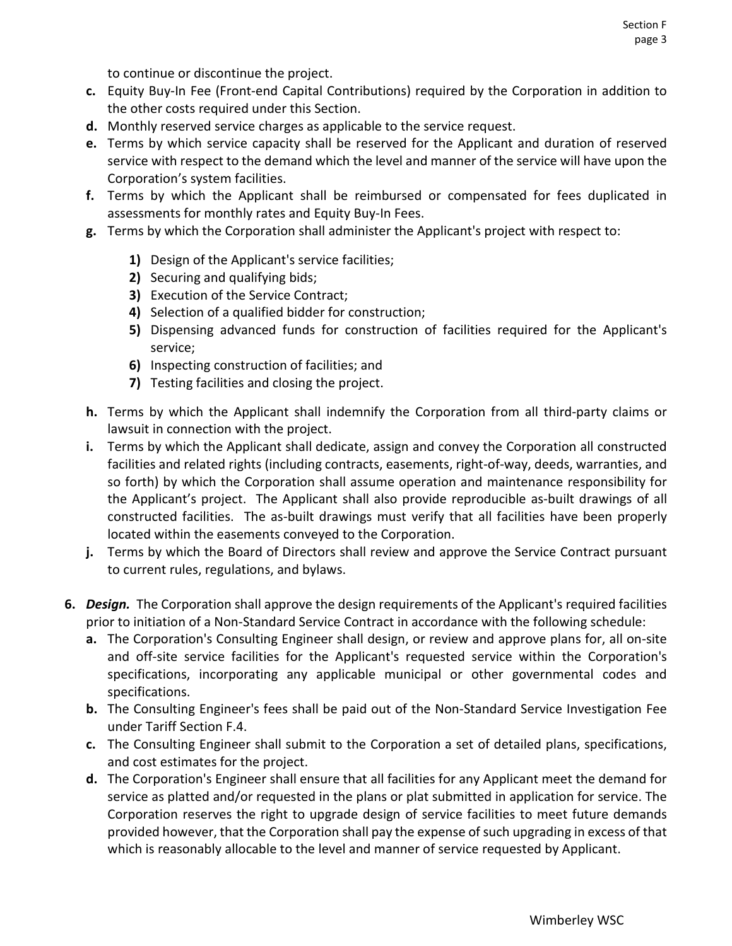to continue or discontinue the project.

- **c.** Equity Buy-In Fee (Front-end Capital Contributions) required by the Corporation in addition to the other costs required under this Section.
- **d.** Monthly reserved service charges as applicable to the service request.
- **e.** Terms by which service capacity shall be reserved for the Applicant and duration of reserved service with respect to the demand which the level and manner of the service will have upon the Corporation's system facilities.
- **f.** Terms by which the Applicant shall be reimbursed or compensated for fees duplicated in assessments for monthly rates and Equity Buy-In Fees.
- **g.** Terms by which the Corporation shall administer the Applicant's project with respect to:
	- **1)** Design of the Applicant's service facilities;
	- **2)** Securing and qualifying bids;
	- **3)** Execution of the Service Contract;
	- **4)** Selection of a qualified bidder for construction;
	- **5)** Dispensing advanced funds for construction of facilities required for the Applicant's service;
	- **6)** Inspecting construction of facilities; and
	- **7)** Testing facilities and closing the project.
- **h.** Terms by which the Applicant shall indemnify the Corporation from all third-party claims or lawsuit in connection with the project.
- **i.** Terms by which the Applicant shall dedicate, assign and convey the Corporation all constructed facilities and related rights (including contracts, easements, right-of-way, deeds, warranties, and so forth) by which the Corporation shall assume operation and maintenance responsibility for the Applicant's project. The Applicant shall also provide reproducible as-built drawings of all constructed facilities. The as-built drawings must verify that all facilities have been properly located within the easements conveyed to the Corporation.
- **j.** Terms by which the Board of Directors shall review and approve the Service Contract pursuant to current rules, regulations, and bylaws.
- **6.** *Design.* The Corporation shall approve the design requirements of the Applicant's required facilities prior to initiation of a Non-Standard Service Contract in accordance with the following schedule:
	- **a.** The Corporation's Consulting Engineer shall design, or review and approve plans for, all on-site and off-site service facilities for the Applicant's requested service within the Corporation's specifications, incorporating any applicable municipal or other governmental codes and specifications.
	- **b.** The Consulting Engineer's fees shall be paid out of the Non-Standard Service Investigation Fee under Tariff Section F.4.
	- **c.** The Consulting Engineer shall submit to the Corporation a set of detailed plans, specifications, and cost estimates for the project.
	- **d.** The Corporation's Engineer shall ensure that all facilities for any Applicant meet the demand for service as platted and/or requested in the plans or plat submitted in application for service. The Corporation reserves the right to upgrade design of service facilities to meet future demands provided however, that the Corporation shall pay the expense of such upgrading in excess of that which is reasonably allocable to the level and manner of service requested by Applicant.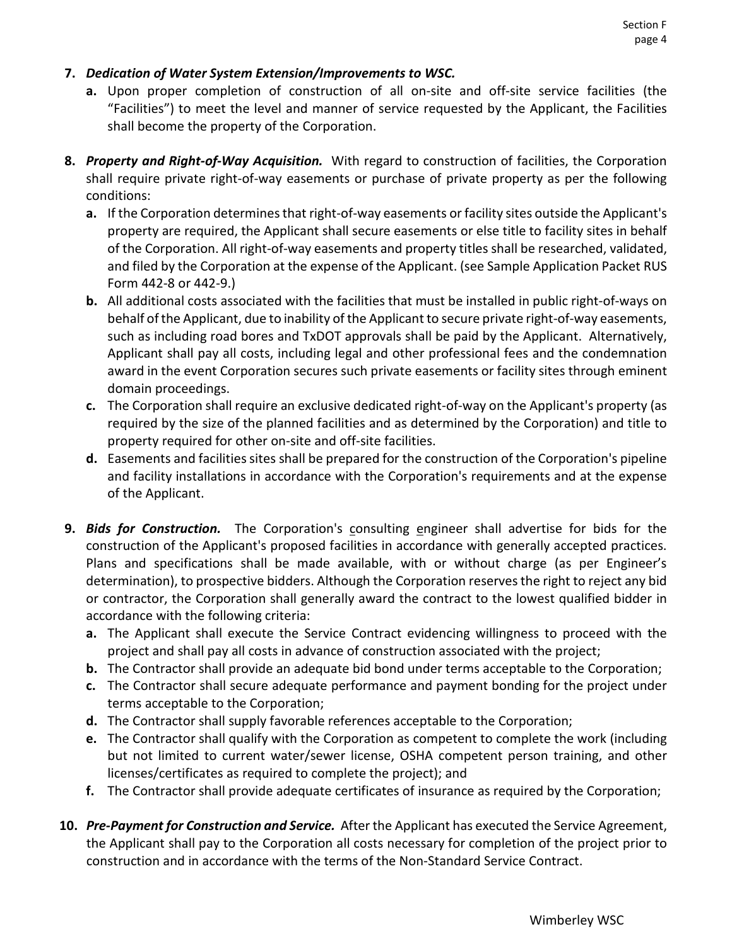#### **7.** *Dedication of Water System Extension/Improvements to WSC.*

- **a.** Upon proper completion of construction of all on-site and off-site service facilities (the "Facilities") to meet the level and manner of service requested by the Applicant, the Facilities shall become the property of the Corporation.
- **8.** *Property and Right-of-Way Acquisition.* With regard to construction of facilities, the Corporation shall require private right-of-way easements or purchase of private property as per the following conditions:
	- **a.** If the Corporation determines that right-of-way easements or facility sites outside the Applicant's property are required, the Applicant shall secure easements or else title to facility sites in behalf of the Corporation. All right-of-way easements and property titles shall be researched, validated, and filed by the Corporation at the expense of the Applicant. (see Sample Application Packet RUS Form 442-8 or 442-9.)
	- **b.** All additional costs associated with the facilities that must be installed in public right-of-ways on behalf of the Applicant, due to inability of the Applicant to secure private right-of-way easements, such as including road bores and TxDOT approvals shall be paid by the Applicant. Alternatively, Applicant shall pay all costs, including legal and other professional fees and the condemnation award in the event Corporation secures such private easements or facility sites through eminent domain proceedings.
	- **c.** The Corporation shall require an exclusive dedicated right-of-way on the Applicant's property (as required by the size of the planned facilities and as determined by the Corporation) and title to property required for other on-site and off-site facilities.
	- **d.** Easements and facilities sites shall be prepared for the construction of the Corporation's pipeline and facility installations in accordance with the Corporation's requirements and at the expense of the Applicant.
- **9.** *Bids for Construction.* The Corporation's consulting engineer shall advertise for bids for the construction of the Applicant's proposed facilities in accordance with generally accepted practices. Plans and specifications shall be made available, with or without charge (as per Engineer's determination), to prospective bidders. Although the Corporation reserves the right to reject any bid or contractor, the Corporation shall generally award the contract to the lowest qualified bidder in accordance with the following criteria:
	- **a.** The Applicant shall execute the Service Contract evidencing willingness to proceed with the project and shall pay all costs in advance of construction associated with the project;
	- **b.** The Contractor shall provide an adequate bid bond under terms acceptable to the Corporation;
	- **c.** The Contractor shall secure adequate performance and payment bonding for the project under terms acceptable to the Corporation;
	- **d.** The Contractor shall supply favorable references acceptable to the Corporation;
	- **e.** The Contractor shall qualify with the Corporation as competent to complete the work (including but not limited to current water/sewer license, OSHA competent person training, and other licenses/certificates as required to complete the project); and
	- **f.** The Contractor shall provide adequate certificates of insurance as required by the Corporation;
- **10.** *Pre-Payment for Construction and Service.* After the Applicant has executed the Service Agreement, the Applicant shall pay to the Corporation all costs necessary for completion of the project prior to construction and in accordance with the terms of the Non-Standard Service Contract.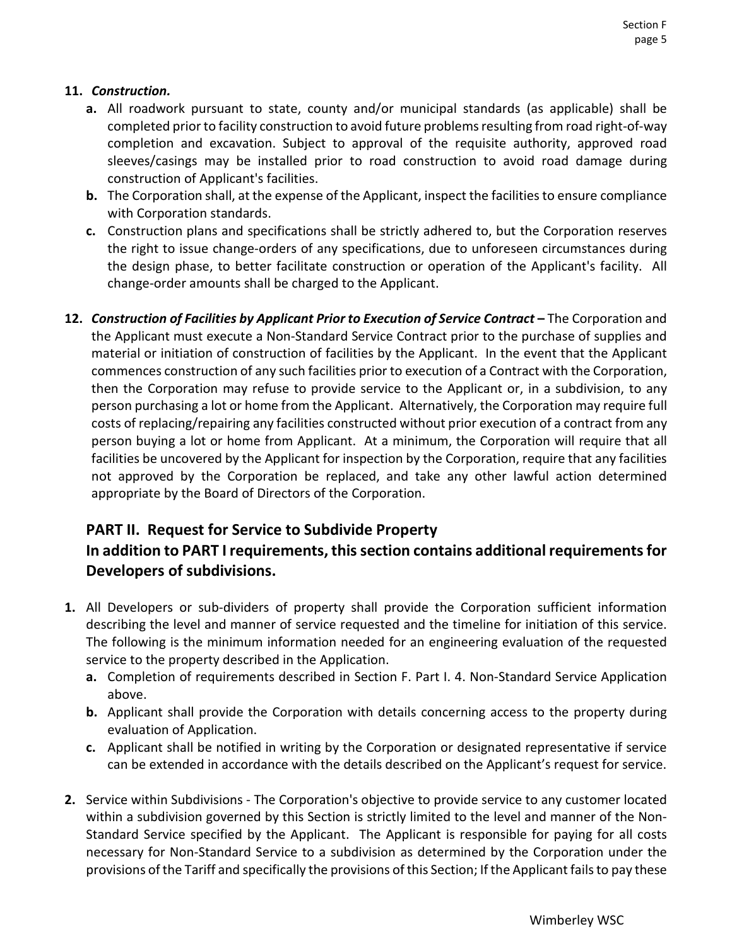#### **11.** *Construction.*

- **a.** All roadwork pursuant to state, county and/or municipal standards (as applicable) shall be completed prior to facility construction to avoid future problems resulting from road right-of-way completion and excavation. Subject to approval of the requisite authority, approved road sleeves/casings may be installed prior to road construction to avoid road damage during construction of Applicant's facilities.
- **b.** The Corporation shall, at the expense of the Applicant, inspect the facilities to ensure compliance with Corporation standards.
- **c.** Construction plans and specifications shall be strictly adhered to, but the Corporation reserves the right to issue change-orders of any specifications, due to unforeseen circumstances during the design phase, to better facilitate construction or operation of the Applicant's facility. All change-order amounts shall be charged to the Applicant.
- **12.** *Construction of Facilities by Applicant Prior to Execution of Service Contract* **–** The Corporation and the Applicant must execute a Non-Standard Service Contract prior to the purchase of supplies and material or initiation of construction of facilities by the Applicant. In the event that the Applicant commences construction of any such facilities prior to execution of a Contract with the Corporation, then the Corporation may refuse to provide service to the Applicant or, in a subdivision, to any person purchasing a lot or home from the Applicant. Alternatively, the Corporation may require full costs of replacing/repairing any facilities constructed without prior execution of a contract from any person buying a lot or home from Applicant. At a minimum, the Corporation will require that all facilities be uncovered by the Applicant for inspection by the Corporation, require that any facilities not approved by the Corporation be replaced, and take any other lawful action determined appropriate by the Board of Directors of the Corporation.

### **PART II. Request for Service to Subdivide Property**

## **In addition to PART I requirements, this section contains additional requirements for Developers of subdivisions.**

- **1.** All Developers or sub-dividers of property shall provide the Corporation sufficient information describing the level and manner of service requested and the timeline for initiation of this service. The following is the minimum information needed for an engineering evaluation of the requested service to the property described in the Application.
	- **a.** Completion of requirements described in Section F. Part I. 4. Non-Standard Service Application above.
	- **b.** Applicant shall provide the Corporation with details concerning access to the property during evaluation of Application.
	- **c.** Applicant shall be notified in writing by the Corporation or designated representative if service can be extended in accordance with the details described on the Applicant's request for service.
- **2.** Service within Subdivisions The Corporation's objective to provide service to any customer located within a subdivision governed by this Section is strictly limited to the level and manner of the Non-Standard Service specified by the Applicant. The Applicant is responsible for paying for all costs necessary for Non-Standard Service to a subdivision as determined by the Corporation under the provisions of the Tariff and specifically the provisions of this Section; If the Applicant fails to pay these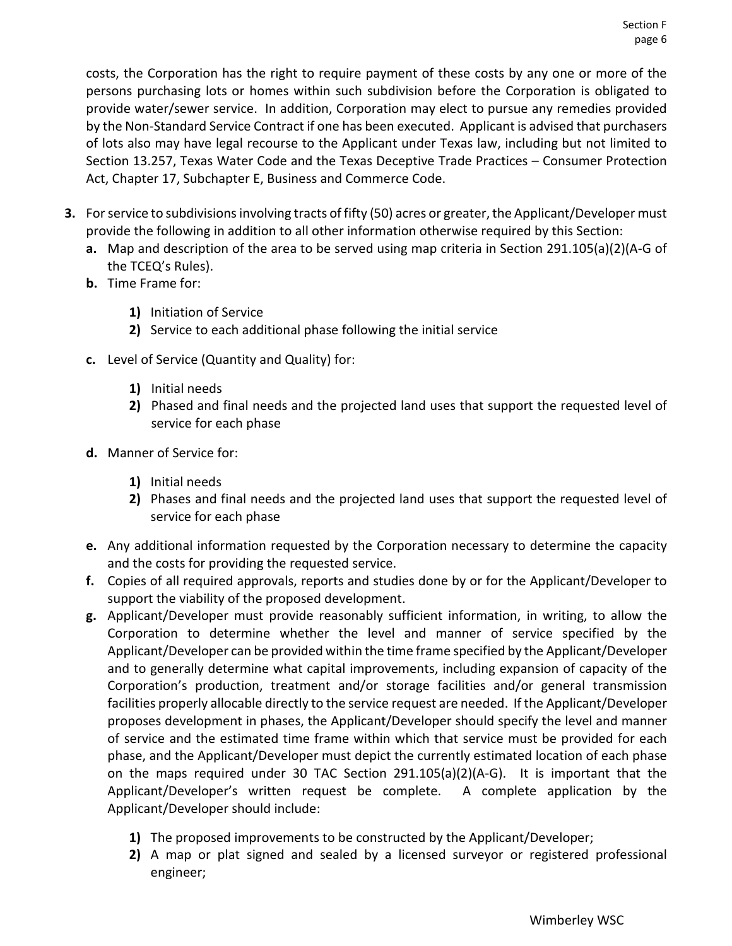costs, the Corporation has the right to require payment of these costs by any one or more of the persons purchasing lots or homes within such subdivision before the Corporation is obligated to provide water/sewer service. In addition, Corporation may elect to pursue any remedies provided by the Non-Standard Service Contract if one has been executed. Applicant is advised that purchasers of lots also may have legal recourse to the Applicant under Texas law, including but not limited to Section 13.257, Texas Water Code and the Texas Deceptive Trade Practices – Consumer Protection Act, Chapter 17, Subchapter E, Business and Commerce Code.

- **3.** For service to subdivisions involving tracts of fifty (50) acres or greater, the Applicant/Developer must provide the following in addition to all other information otherwise required by this Section:
	- **a.** Map and description of the area to be served using map criteria in Section 291.105(a)(2)(A-G of the TCEQ's Rules).
	- **b.** Time Frame for:
		- **1)** Initiation of Service
		- **2)** Service to each additional phase following the initial service
	- **c.** Level of Service (Quantity and Quality) for:
		- **1)** Initial needs
		- **2)** Phased and final needs and the projected land uses that support the requested level of service for each phase
	- **d.** Manner of Service for:
		- **1)** Initial needs
		- **2)** Phases and final needs and the projected land uses that support the requested level of service for each phase
	- **e.** Any additional information requested by the Corporation necessary to determine the capacity and the costs for providing the requested service.
	- **f.** Copies of all required approvals, reports and studies done by or for the Applicant/Developer to support the viability of the proposed development.
	- **g.** Applicant/Developer must provide reasonably sufficient information, in writing, to allow the Corporation to determine whether the level and manner of service specified by the Applicant/Developer can be provided within the time frame specified by the Applicant/Developer and to generally determine what capital improvements, including expansion of capacity of the Corporation's production, treatment and/or storage facilities and/or general transmission facilities properly allocable directly to the service request are needed. If the Applicant/Developer proposes development in phases, the Applicant/Developer should specify the level and manner of service and the estimated time frame within which that service must be provided for each phase, and the Applicant/Developer must depict the currently estimated location of each phase on the maps required under 30 TAC Section  $291.105(a)(2)(A-G)$ . It is important that the Applicant/Developer's written request be complete. A complete application by the Applicant/Developer should include:
		- **1)** The proposed improvements to be constructed by the Applicant/Developer;
		- **2)** A map or plat signed and sealed by a licensed surveyor or registered professional engineer;